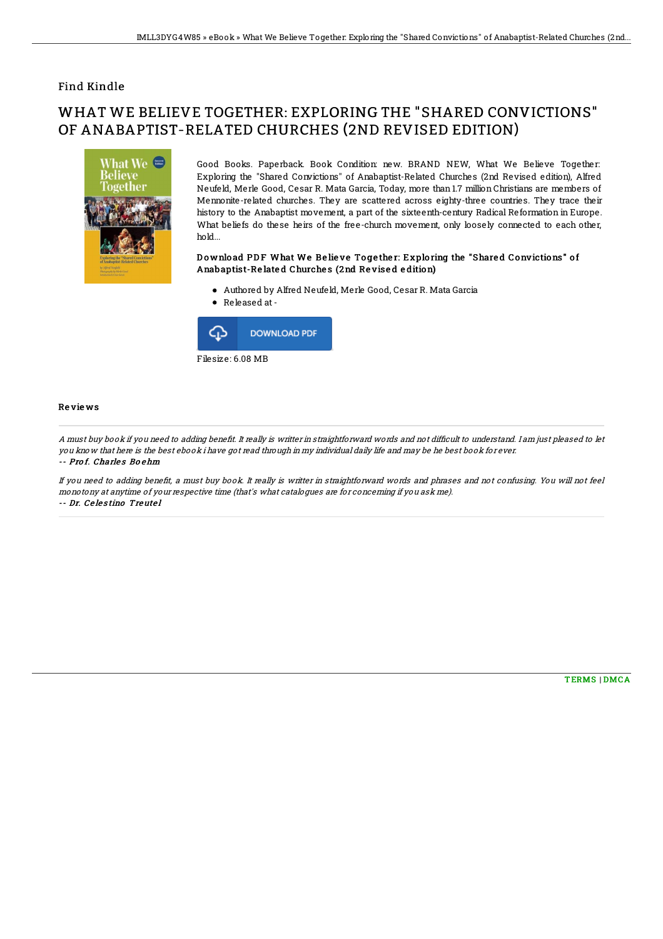### Find Kindle

# WHAT WE BELIEVE TOGETHER: EXPLORING THE "SHARED CONVICTIONS" OF ANABAPTIST-RELATED CHURCHES (2ND REVISED EDITION)



Good Books. Paperback. Book Condition: new. BRAND NEW, What We Believe Together: Exploring the "Shared Convictions" of Anabaptist-Related Churches (2nd Revised edition), Alfred Neufeld, Merle Good, Cesar R. Mata Garcia, Today, more than 1.7 million Christians are members of Mennonite-related churches. They are scattered across eighty-three countries. They trace their history to the Anabaptist movement, a part of the sixteenth-century Radical Reformation in Europe. What beliefs do these heirs of the free-church movement, only loosely connected to each other, hold...

#### Download PDF What We Believe Together: Exploring the "Shared Convictions" of Anabaptist-Re late d Churche s (2nd Re vise d e dition)

- Authored by Alfred Neufeld, Merle Good, Cesar R. Mata Garcia
- Released at-



#### Re vie ws

A must buy book if you need to adding benefit. It really is writter in straightforward words and not difficult to understand. I am just pleased to let you know that here is the best ebook i have got read through in my individual daily life and may be he best book for ever. -- Prof. Charles Boehm

If you need to adding benefit, a must buy book. It really is writter in straightforward words and phrases and not confusing. You will not feel monotony at anytime of your respective time (that's what catalogues are for concerning if you ask me). -- Dr. Ce le s tino Treute l